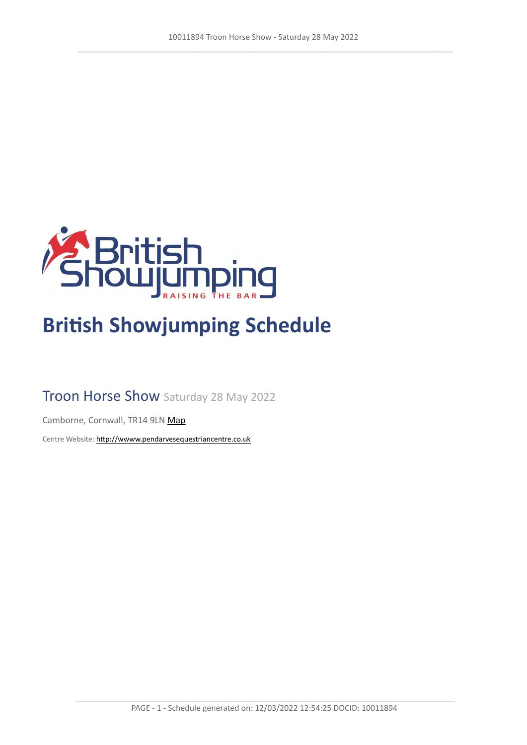

# **British Showjumping Schedule**

Troon Horse Show Saturday 28 May 2022

Camborne, Cornwall, TR14 9LN [Map](https://www.google.com/maps/@50.2017920,-5.3001470,16z)

Centre Website: <http://wwww.pendarvesequestriancentre.co.uk>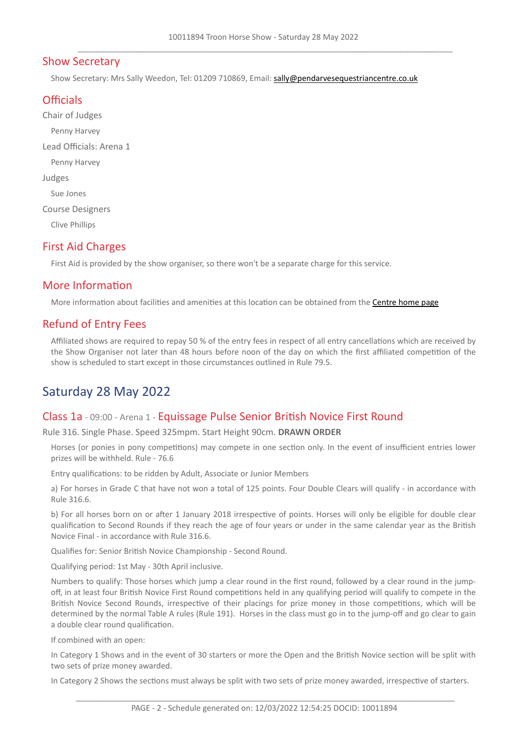### Show Secretary

Show Secretary: Mrs Sally Weedon, Tel: 01209 710869, Email: <sally@pendarvesequestriancentre.co.uk>

# **Officials**

Chair of Judges Penny Harvey Lead Officials: Arena 1 Penny Harvey Judges Sue Jones Course Designers Clive Phillips

#### First Aid Charges

First Aid is provided by the show organiser, so there won't be a separate charge for this service.

## More Information

More information about facilities and amenities at this location can be obtained from the **[Centre](http://wwww.pendarvesequestriancentre.co.uk) [home](http://wwww.pendarvesequestriancentre.co.uk) [page](http://wwww.pendarvesequestriancentre.co.uk)** 

# Refund of Entry Fees

Affiliated shows are required to repay 50 % of the entry fees in respect of all entry cancellations which are received by the Show Organiser not later than 48 hours before noon of the day on which the first affiliated competition of the show is scheduled to start except in those circumstances outlined in Rule 79.5.

# Saturday 28 May 2022

#### Class 1a - 09:00 - Arena 1 - Equissage Pulse Senior British Novice First Round

Rule 316. Single Phase. Speed 325mpm. Start Height 90cm. **DRAWN ORDER**

Horses (or ponies in pony competitions) may compete in one section only. In the event of insufficient entries lower prizes will be withheld. Rule - 76.6

Entry qualifications: to be ridden by Adult, Associate or Junior Members

a) For horses in Grade C that have not won a total of 125 points. Four Double Clears will qualify - in accordance with Rule 316.6.

b) For all horses born on or after 1 January 2018 irrespective of points. Horses will only be eligible for double clear qualification to Second Rounds if they reach the age of four years or under in the same calendar year as the British Novice Final - in accordance with Rule 316.6.

Qualifies for: Senior British Novice Championship - Second Round.

Qualifying period: 1st May - 30th April inclusive.

Numbers to qualify: Those horses which jump a clear round in the first round, followed by a clear round in the jumpoff, in at least four British Novice First Round competitions held in any qualifying period will qualify to compete in the British Novice Second Rounds, irrespective of their placings for prize money in those competitions, which will be determined by the normal Table A rules (Rule 191). Horses in the class must go in to the jump-off and go clear to gain a double clear round qualification.

If combined with an open:

In Category 1 Shows and in the event of 30 starters or more the Open and the British Novice section will be split with two sets of prize money awarded.

In Category 2 Shows the sections must always be split with two sets of prize money awarded, irrespective of starters.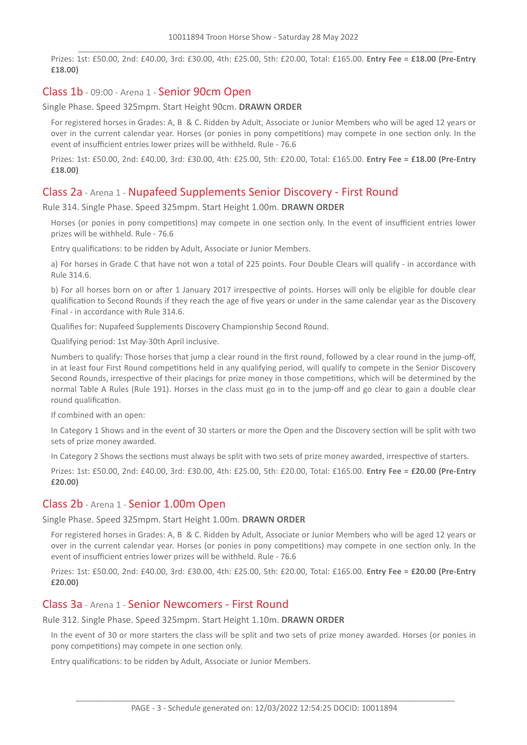Prizes: 1st: £50.00, 2nd: £40.00, 3rd: £30.00, 4th: £25.00, 5th: £20.00, Total: £165.00. **Entry Fee = £18.00 (Pre-Entry £18.00)**

#### Class 1b - 09:00 - Arena 1 - Senior 90cm Open

Single Phase. Speed 325mpm. Start Height 90cm. **DRAWN ORDER**

For registered horses in Grades: A, B & C. Ridden by Adult, Associate or Junior Members who will be aged 12 years or over in the current calendar year. Horses (or ponies in pony competitions) may compete in one section only. In the event of insufficient entries lower prizes will be withheld. Rule - 76.6

Prizes: 1st: £50.00, 2nd: £40.00, 3rd: £30.00, 4th: £25.00, 5th: £20.00, Total: £165.00. **Entry Fee = £18.00 (Pre-Entry £18.00)**

#### Class 2a - Arena 1 - Nupafeed Supplements Senior Discovery - First Round

Rule 314. Single Phase. Speed 325mpm. Start Height 1.00m. **DRAWN ORDER**

Horses (or ponies in pony competitions) may compete in one section only. In the event of insufficient entries lower prizes will be withheld. Rule - 76.6

Entry qualifications: to be ridden by Adult, Associate or Junior Members.

a) For horses in Grade C that have not won a total of 225 points. Four Double Clears will qualify - in accordance with Rule 314.6.

b) For all horses born on or after 1 January 2017 irrespective of points. Horses will only be eligible for double clear qualification to Second Rounds if they reach the age of five years or under in the same calendar year as the Discovery Final - in accordance with Rule 314.6.

Qualifies for: Nupafeed Supplements Discovery Championship Second Round.

Qualifying period: 1st May-30th April inclusive.

Numbers to qualify: Those horses that jump a clear round in the first round, followed by a clear round in the jump-off, in at least four First Round competitions held in any qualifying period, will qualify to compete in the Senior Discovery Second Rounds, irrespective of their placings for prize money in those competitions, which will be determined by the normal Table A Rules (Rule 191). Horses in the class must go in to the jump-off and go clear to gain a double clear round qualification.

If combined with an open:

In Category 1 Shows and in the event of 30 starters or more the Open and the Discovery section will be split with two sets of prize money awarded.

In Category 2 Shows the sections must always be split with two sets of prize money awarded, irrespective of starters.

Prizes: 1st: £50.00, 2nd: £40.00, 3rd: £30.00, 4th: £25.00, 5th: £20.00, Total: £165.00. **Entry Fee = £20.00 (Pre-Entry £20.00)**

#### Class 2b - Arena 1 - Senior 1.00m Open

Single Phase. Speed 325mpm. Start Height 1.00m. **DRAWN ORDER**

For registered horses in Grades: A, B & C. Ridden by Adult, Associate or Junior Members who will be aged 12 years or over in the current calendar year. Horses (or ponies in pony competitions) may compete in one section only. In the event of insufficient entries lower prizes will be withheld. Rule - 76.6

Prizes: 1st: £50.00, 2nd: £40.00, 3rd: £30.00, 4th: £25.00, 5th: £20.00, Total: £165.00. **Entry Fee = £20.00 (Pre-Entry £20.00)**

#### Class 3a - Arena 1 - Senior Newcomers - First Round

Rule 312. Single Phase. Speed 325mpm. Start Height 1.10m. **DRAWN ORDER**

In the event of 30 or more starters the class will be split and two sets of prize money awarded. Horses (or ponies in pony competitions) may compete in one section only.

Entry qualifications: to be ridden by Adult, Associate or Junior Members.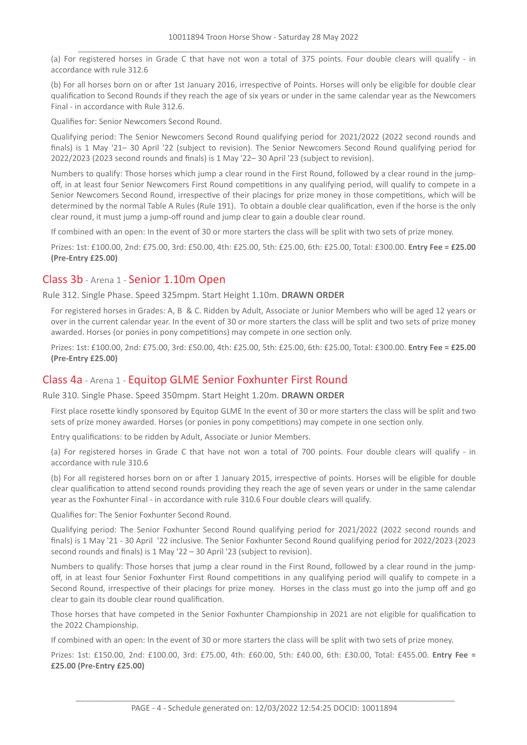(a) For registered horses in Grade C that have not won a total of 375 points. Four double clears will qualify - in accordance with rule 312.6

(b) For all horses born on or after 1st January 2016, irrespective of Points. Horses will only be eligible for double clear qualification to Second Rounds if they reach the age of six years or under in the same calendar year as the Newcomers Final - in accordance with Rule 312.6.

Qualifies for: Senior Newcomers Second Round.

Qualifying period: The Senior Newcomers Second Round qualifying period for 2021/2022 (2022 second rounds and finals) is 1 May '21– 30 April '22 (subject to revision). The Senior Newcomers Second Round qualifying period for 2022/2023 (2023 second rounds and finals) is 1 May '22– 30 April '23 (subject to revision).

Numbers to qualify: Those horses which jump a clear round in the First Round, followed by a clear round in the jumpoff, in at least four Senior Newcomers First Round competitions in any qualifying period, will qualify to compete in a Senior Newcomers Second Round, irrespective of their placings for prize money in those competitions, which will be determined by the normal Table A Rules (Rule 191). To obtain a double clear qualification, even if the horse is the only clear round, it must jump a jump-off round and jump clear to gain a double clear round.

If combined with an open: In the event of 30 or more starters the class will be split with two sets of prize money.

Prizes: 1st: £100.00, 2nd: £75.00, 3rd: £50.00, 4th: £25.00, 5th: £25.00, 6th: £25.00, Total: £300.00. **Entry Fee = £25.00 (Pre-Entry £25.00)**

#### Class 3b - Arena 1 - Senior 1.10m Open

Rule 312. Single Phase. Speed 325mpm. Start Height 1.10m. **DRAWN ORDER**

For registered horses in Grades: A, B & C. Ridden by Adult, Associate or Junior Members who will be aged 12 years or over in the current calendar year. In the event of 30 or more starters the class will be split and two sets of prize money awarded. Horses (or ponies in pony competitions) may compete in one section only.

Prizes: 1st: £100.00, 2nd: £75.00, 3rd: £50.00, 4th: £25.00, 5th: £25.00, 6th: £25.00, Total: £300.00. **Entry Fee = £25.00 (Pre-Entry £25.00)**

#### Class 4a - Arena 1 - Equitop GLME Senior Foxhunter First Round

Rule 310. Single Phase. Speed 350mpm. Start Height 1.20m. **DRAWN ORDER**

First place rosette kindly sponsored by Equitop GLME In the event of 30 or more starters the class will be split and two sets of prize money awarded. Horses (or ponies in pony competitions) may compete in one section only.

Entry qualifications: to be ridden by Adult, Associate or Junior Members.

(a) For registered horses in Grade C that have not won a total of 700 points. Four double clears will qualify - in accordance with rule 310.6

(b) For all registered horses born on or after 1 January 2015, irrespective of points. Horses will be eligible for double clear qualification to attend second rounds providing they reach the age of seven years or under in the same calendar year as the Foxhunter Final - in accordance with rule 310.6 Four double clears will qualify.

Qualifies for: The Senior Foxhunter Second Round.

Qualifying period: The Senior Foxhunter Second Round qualifying period for 2021/2022 (2022 second rounds and finals) is 1 May '21 - 30 April '22 inclusive. The Senior Foxhunter Second Round qualifying period for 2022/2023 (2023 second rounds and finals) is 1 May '22 – 30 April '23 (subject to revision).

Numbers to qualify: Those horses that jump a clear round in the First Round, followed by a clear round in the jumpoff, in at least four Senior Foxhunter First Round competitions in any qualifying period will qualify to compete in a Second Round, irrespective of their placings for prize money. Horses in the class must go into the jump off and go clear to gain its double clear round qualification.

Those horses that have competed in the Senior Foxhunter Championship in 2021 are not eligible for qualification to the 2022 Championship.

If combined with an open: In the event of 30 or more starters the class will be split with two sets of prize money.

Prizes: 1st: £150.00, 2nd: £100.00, 3rd: £75.00, 4th: £60.00, 5th: £40.00, 6th: £30.00, Total: £455.00. **Entry Fee = £25.00 (Pre-Entry £25.00)**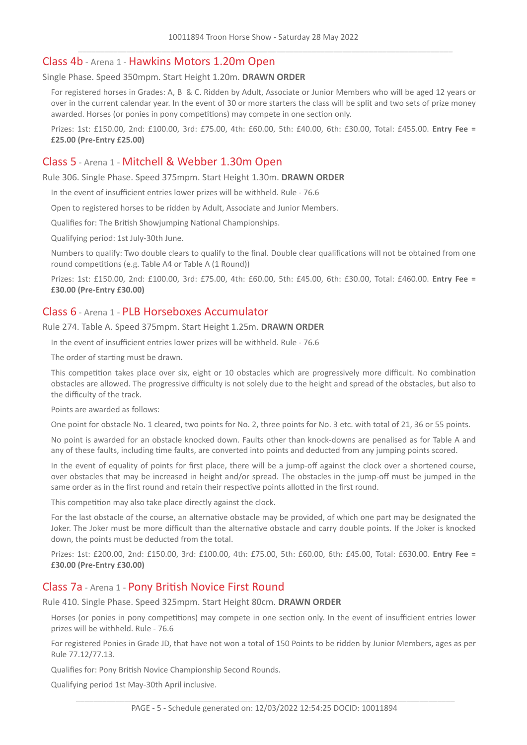#### Class 4b - Arena 1 - Hawkins Motors 1.20m Open

#### Single Phase. Speed 350mpm. Start Height 1.20m. **DRAWN ORDER**

For registered horses in Grades: A, B & C. Ridden by Adult, Associate or Junior Members who will be aged 12 years or over in the current calendar year. In the event of 30 or more starters the class will be split and two sets of prize money awarded. Horses (or ponies in pony competitions) may compete in one section only.

Prizes: 1st: £150.00, 2nd: £100.00, 3rd: £75.00, 4th: £60.00, 5th: £40.00, 6th: £30.00, Total: £455.00. **Entry Fee = £25.00 (Pre-Entry £25.00)**

#### Class 5 - Arena 1 - Mitchell & Webber 1.30m Open

Rule 306. Single Phase. Speed 375mpm. Start Height 1.30m. **DRAWN ORDER**

In the event of insufficient entries lower prizes will be withheld. Rule - 76.6

Open to registered horses to be ridden by Adult, Associate and Junior Members.

Qualifies for: The British Showjumping National Championships.

Qualifying period: 1st July-30th June.

Numbers to qualify: Two double clears to qualify to the final. Double clear qualifications will not be obtained from one round competitions (e.g. Table A4 or Table A (1 Round))

Prizes: 1st: £150.00, 2nd: £100.00, 3rd: £75.00, 4th: £60.00, 5th: £45.00, 6th: £30.00, Total: £460.00. **Entry Fee = £30.00 (Pre-Entry £30.00)**

#### Class 6 - Arena 1 - PLB Horseboxes Accumulator

#### Rule 274. Table A. Speed 375mpm. Start Height 1.25m. **DRAWN ORDER**

In the event of insufficient entries lower prizes will be withheld. Rule - 76.6

The order of starting must be drawn.

This competition takes place over six, eight or 10 obstacles which are progressively more difficult. No combination obstacles are allowed. The progressive difficulty is not solely due to the height and spread of the obstacles, but also to the difficulty of the track.

Points are awarded as follows:

One point for obstacle No. 1 cleared, two points for No. 2, three points for No. 3 etc. with total of 21, 36 or 55 points.

No point is awarded for an obstacle knocked down. Faults other than knock-downs are penalised as for Table A and any of these faults, including time faults, are converted into points and deducted from any jumping points scored.

In the event of equality of points for first place, there will be a jump-off against the clock over a shortened course, over obstacles that may be increased in height and/or spread. The obstacles in the jump-off must be jumped in the same order as in the first round and retain their respective points allotted in the first round.

This competition may also take place directly against the clock.

For the last obstacle of the course, an alternative obstacle may be provided, of which one part may be designated the Joker. The Joker must be more difficult than the alternative obstacle and carry double points. If the Joker is knocked down, the points must be deducted from the total.

Prizes: 1st: £200.00, 2nd: £150.00, 3rd: £100.00, 4th: £75.00, 5th: £60.00, 6th: £45.00, Total: £630.00. **Entry Fee = £30.00 (Pre-Entry £30.00)**

#### Class 7a - Arena 1 - Pony British Novice First Round

Rule 410. Single Phase. Speed 325mpm. Start Height 80cm. **DRAWN ORDER**

Horses (or ponies in pony competitions) may compete in one section only. In the event of insufficient entries lower prizes will be withheld. Rule - 76.6

For registered Ponies in Grade JD, that have not won a total of 150 Points to be ridden by Junior Members, ages as per Rule 77.12/77.13.

Qualifies for: Pony British Novice Championship Second Rounds.

Qualifying period 1st May-30th April inclusive.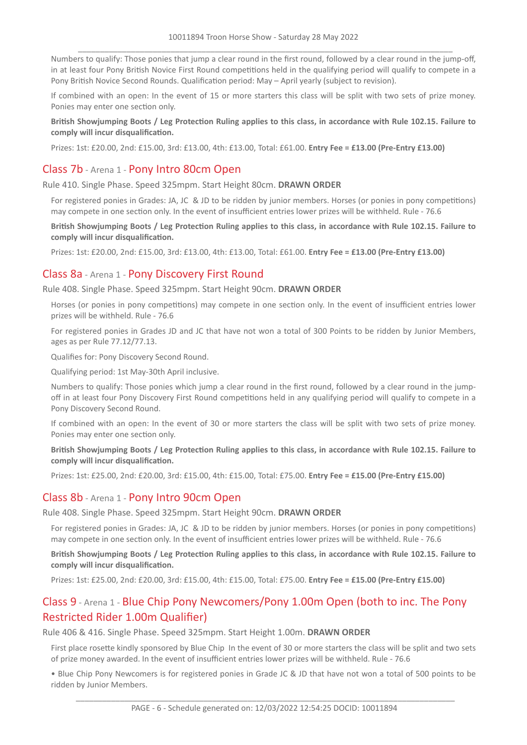Numbers to qualify: Those ponies that jump a clear round in the first round, followed by a clear round in the jump-off, in at least four Pony British Novice First Round competitions held in the qualifying period will qualify to compete in a Pony British Novice Second Rounds. Qualification period: May – April yearly (subject to revision).

If combined with an open: In the event of 15 or more starters this class will be split with two sets of prize money. Ponies may enter one section only.

British Showjumping Boots / Leg Protection Ruling applies to this class, in accordance with Rule 102.15. Failure to **comply will incur disqualification.**

Prizes: 1st: £20.00, 2nd: £15.00, 3rd: £13.00, 4th: £13.00, Total: £61.00. **Entry Fee = £13.00 (Pre-Entry £13.00)**

#### Class 7b - Arena 1 - Pony Intro 80cm Open

Rule 410. Single Phase. Speed 325mpm. Start Height 80cm. **DRAWN ORDER**

For registered ponies in Grades: JA, JC & JD to be ridden by junior members. Horses (or ponies in pony competitions) may compete in one section only. In the event of insufficient entries lower prizes will be withheld. Rule - 76.6

British Showjumping Boots / Leg Protection Ruling applies to this class, in accordance with Rule 102.15. Failure to **comply will incur disqualification.**

Prizes: 1st: £20.00, 2nd: £15.00, 3rd: £13.00, 4th: £13.00, Total: £61.00. **Entry Fee = £13.00 (Pre-Entry £13.00)**

#### Class 8a - Arena 1 - Pony Discovery First Round

Rule 408. Single Phase. Speed 325mpm. Start Height 90cm. **DRAWN ORDER**

Horses (or ponies in pony competitions) may compete in one section only. In the event of insufficient entries lower prizes will be withheld. Rule - 76.6

For registered ponies in Grades JD and JC that have not won a total of 300 Points to be ridden by Junior Members, ages as per Rule 77.12/77.13.

Qualifies for: Pony Discovery Second Round.

Qualifying period: 1st May-30th April inclusive.

Numbers to qualify: Those ponies which jump a clear round in the first round, followed by a clear round in the jumpoff in at least four Pony Discovery First Round competitions held in any qualifying period will qualify to compete in a Pony Discovery Second Round.

If combined with an open: In the event of 30 or more starters the class will be split with two sets of prize money. Ponies may enter one section only.

British Showjumping Boots / Leg Protection Ruling applies to this class, in accordance with Rule 102.15. Failure to **comply will incur disqualification.**

Prizes: 1st: £25.00, 2nd: £20.00, 3rd: £15.00, 4th: £15.00, Total: £75.00. **Entry Fee = £15.00 (Pre-Entry £15.00)**

#### Class 8b - Arena 1 - Pony Intro 90cm Open

Rule 408. Single Phase. Speed 325mpm. Start Height 90cm. **DRAWN ORDER**

For registered ponies in Grades: JA, JC & JD to be ridden by junior members. Horses (or ponies in pony competitions) may compete in one section only. In the event of insufficient entries lower prizes will be withheld. Rule - 76.6

British Showjumping Boots / Leg Protection Ruling applies to this class, in accordance with Rule 102.15. Failure to **comply will incur disqualification.**

Prizes: 1st: £25.00, 2nd: £20.00, 3rd: £15.00, 4th: £15.00, Total: £75.00. **Entry Fee = £15.00 (Pre-Entry £15.00)**

## Class 9 - Arena 1 - Blue Chip Pony Newcomers/Pony 1.00m Open (both to inc. The Pony Restricted Rider 1.00m Qualifier)

Rule 406 & 416. Single Phase. Speed 325mpm. Start Height 1.00m. **DRAWN ORDER**

First place rosette kindly sponsored by Blue Chip In the event of 30 or more starters the class will be split and two sets of prize money awarded. In the event of insufficient entries lower prizes will be withheld. Rule - 76.6

• Blue Chip Pony Newcomers is for registered ponies in Grade JC & JD that have not won a total of 500 points to be ridden by Junior Members.